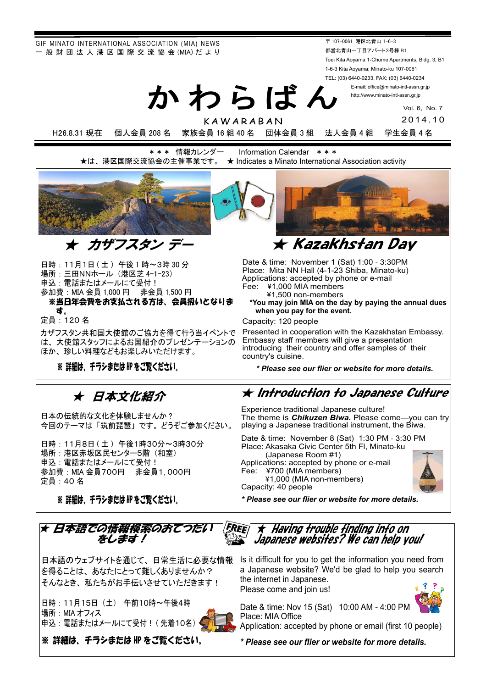GIF MINATO INTERNATIONAL ASSOCIATION (MIA) NEWS - 般 財 団 法 人 港 区 国 際 交 流 協 会 (MIA) だ よ り

〒 107-0061 港区北青山 1-6-3 都営北青山一丁目アパート3号棟 B1 Toei Kita Aoyama 1-Chome Apartments, Bldg. 3, B1 1-6-3 Kita Aoyama; Minato-ku 107-0061 TEL: (03) 6440-0233, FAX: (03) 6440-0234 E-mail: office@minato-intl-assn.gr.jp

http://www.minato-intl-assn.gr.jp

Vol. 6, No. 7 2014.10

KAWARABAN

かわらばん

H26.8.31 現在 個人会員 208 名 家族会員 16 組 40 名 団体会員 3 組 法人会員 4 組 学生会員 4 名

\*\*\* 情報カレンダー Information Calendar \*\*\* ★は、港区国際交流協会の主催事業です。 ★ Indicates a Minato International Association activity



日時: 11月1日 (土) 午後1時~3時30分 場所: 三田NNホール (港区芝 4-1-23) 申込: 電話またはメールにて受付! 参加費: MIA 会員 1,000 円 非会員 1,500 円 ※当日年会費をお支払される方は、会員扱いとなりま す。

定員: 120 名

カザフスタン共和国大使館のご協力を得て行う当イベントで は、大使館スタッフによるお国紹介のプレゼンテーションの ほか、珍しい料理などもお楽しみいただけます。

※ 詳細は、 チラシまたは HP をご覧ください。

## ★ 日本文化紹介

日本の伝統的な文化を体験しませんか? 今回のテーマは「筑前琵琶」です。どうぞご参加ください。

日時: 11月8日 (土) 午後1時30分~3時30分 場所:港区赤坂区民センター5階 (和室) 申込: 電話またはメールにて受付! 参加費: MIA 会員700円 非会員1, 000円 定員: 40名

※ 詳細は、 チラシまたは HP をご覧ください。

Date & time: November 1 (Sat) 1:00 - 3:30PM Place: Mita NN Hall (4-1-23 Shiba, Minato-ku) Applications: accepted by phone or e-mail Fee: ¥1,000 MIA members 㼈1,500 non-members

 **\*You may join MIA on the day by paying the annual dues when you pay for the event.**

Capacity: 120 people

 Presented in cooperation with the Kazakhstan Embassy. Embassy staff members will give a presentation introducing their country and offer samples of their country's cuisine.

*\* Please see our flier or website for more details.*

### **★ Introduction to Japanese Culture**

Experience traditional Japanese culture! The theme is *Chikuzen Biwa.* Please come—you can try playing a Japanese traditional instrument, the Biwa.

Date & time: November 8 (Sat) 1:30 PM - 3:30 PM Place: Akasaka Civic Center 5th Fl, Minato-ku (Japanese Room #1) Applications: accepted by phone or e-mail Fee: ¥700 (MIA members) 㼈1,000 (MIA non-members) Capacity: 40 people



*\* Please see our flier or website for more details.*



日本語のウェブサイトを通じて、日常生活に必要な情報 を得ることは、あなたにとって難しくありませんか? そんなとき、私たちがお手伝いさせていただきます!

日時: 11月15日 (土) 午前10時~午後4時 場所: MIA オフィス 申込: 電話またはメールにて受付!(先着10名)



※ 詳細は、 チラシまたは HP をご覧ください。

Is it difficult for you to get the information you need from a Japanese website? We'd be glad to help you search the internet in Japanese.

Please come and join us!



Date & time: Nov 15 (Sat) 10:00 AM - 4:00 PM Place: MIA Office

Application: accepted by phone or email (first 10 people)

*\* Please see our flier or website for more details.*